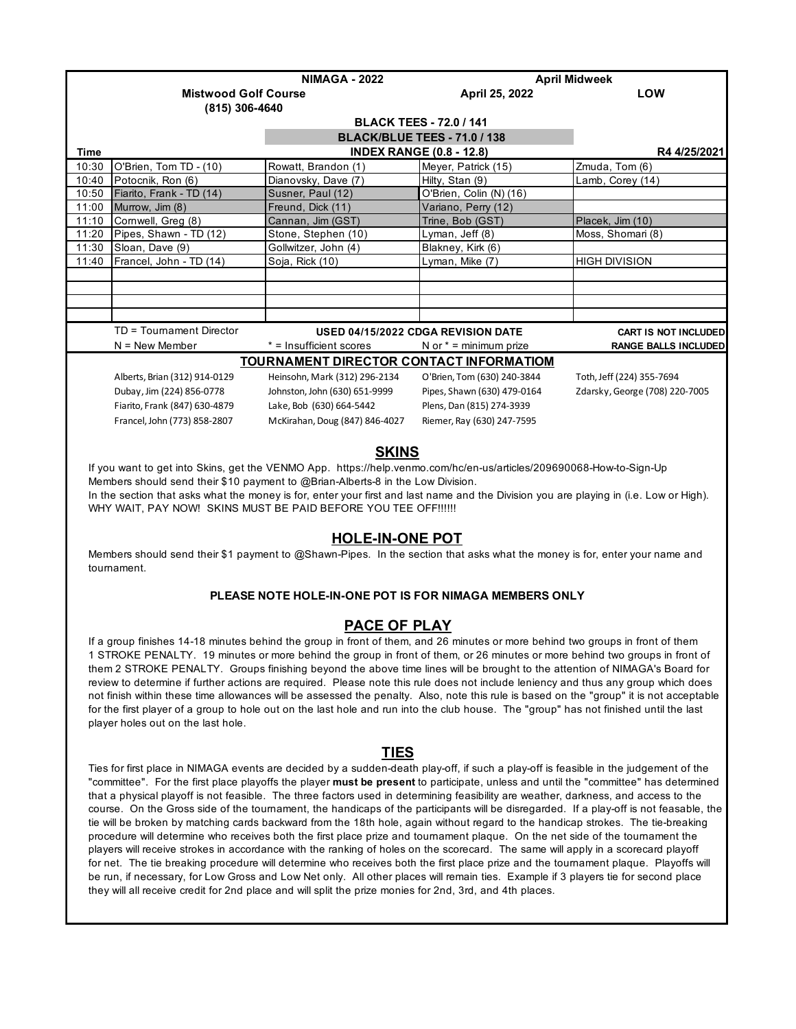|                                                | <b>NIMAGA - 2022</b>           |                                    |                                 | <b>April Midweek</b>           |  |  |
|------------------------------------------------|--------------------------------|------------------------------------|---------------------------------|--------------------------------|--|--|
|                                                | <b>Mistwood Golf Course</b>    |                                    | April 25, 2022                  | <b>LOW</b>                     |  |  |
|                                                | (815) 306-4640                 |                                    |                                 |                                |  |  |
|                                                | <b>BLACK TEES - 72.0 / 141</b> |                                    |                                 |                                |  |  |
|                                                | BLACK/BLUE TEES - 71.0 / 138   |                                    |                                 |                                |  |  |
| <b>Time</b>                                    |                                |                                    | <b>INDEX RANGE (0.8 - 12.8)</b> | R44/25/2021                    |  |  |
| 10:30                                          | O'Brien, Tom TD - (10)         | Rowatt, Brandon (1)                | Meyer, Patrick (15)             | Zmuda, Tom (6)                 |  |  |
| 10:40                                          | Potocnik, Ron (6)              | Dianovsky, Dave (7)                | Hilty, Stan (9)                 | Lamb, Corey (14)               |  |  |
| 10:50                                          | Fiarito, Frank - TD (14)       | Susner, Paul (12)                  | O'Brien, Colin (N) (16)         |                                |  |  |
| 11:00                                          | Murrow, Jim (8)                | Freund, Dick (11)                  | Variano, Perry (12)             |                                |  |  |
| 11:10                                          | Cornwell, Greg (8)             | Cannan, Jim (GST)                  | Trine, Bob (GST)                | Placek, Jim (10)               |  |  |
| 11:20                                          | Pipes, Shawn - TD (12)         | Stone, Stephen (10)                | Lyman, Jeff (8)                 | Moss, Shomari (8)              |  |  |
| 11:30                                          | Sloan, Dave (9)                | Gollwitzer, John (4)               | Blakney, Kirk (6)               |                                |  |  |
| 11:40                                          | Francel, John - TD (14)        | Soja, Rick (10)                    | Lyman, Mike (7)                 | <b>HIGH DIVISION</b>           |  |  |
|                                                |                                |                                    |                                 |                                |  |  |
|                                                |                                |                                    |                                 |                                |  |  |
|                                                |                                |                                    |                                 |                                |  |  |
|                                                |                                |                                    |                                 |                                |  |  |
|                                                | TD = Tournament Director       | USED 04/15/2022 CDGA REVISION DATE |                                 | <b>CART IS NOT INCLUDED</b>    |  |  |
|                                                | $N =$ New Member               | * = Insufficient scores            | N or $* =$ minimum prize        | <b>RANGE BALLS INCLUDED</b>    |  |  |
| <b>TOURNAMENT DIRECTOR CONTACT INFORMATIOM</b> |                                |                                    |                                 |                                |  |  |
|                                                | Alberts, Brian (312) 914-0129  | Heinsohn, Mark (312) 296-2134      | O'Brien, Tom (630) 240-3844     | Toth, Jeff (224) 355-7694      |  |  |
|                                                | Dubay, Jim (224) 856-0778      | Johnston, John (630) 651-9999      | Pipes, Shawn (630) 479-0164     | Zdarsky, George (708) 220-7005 |  |  |
|                                                | Fiarito, Frank (847) 630-4879  | Lake, Bob (630) 664-5442           | Plens, Dan (815) 274-3939       |                                |  |  |
|                                                | Francel, John (773) 858-2807   | McKirahan, Doug (847) 846-4027     | Riemer, Ray (630) 247-7595      |                                |  |  |
|                                                |                                |                                    |                                 |                                |  |  |

## **SKINS**

 If you want to get into Skins, get the VENMO App. https://help.venmo.com/hc/en-us/articles/209690068-How-to-Sign-Up Members should send their \$10 payment to @Brian-Alberts-8 in the Low Division. In the section that asks what the money is for, enter your first and last name and the Division you are playing in (i.e. Low or High). WHY WAIT, PAY NOW! SKINS MUST BE PAID BEFORE YOU TEE OFF!!!!!!

### **HOLE-IN-ONE POT**

 Members should send their \$1 payment to @Shawn-Pipes. In the section that asks what the money is for, enter your name and tournament.

### **PLEASE NOTE HOLE-IN-ONE POT IS FOR NIMAGA MEMBERS ONLY**

### **PACE OF PLAY**

 If a group finishes 14-18 minutes behind the group in front of them, and 26 minutes or more behind two groups in front of them 1 STROKE PENALTY. 19 minutes or more behind the group in front of them, or 26 minutes or more behind two groups in front of them 2 STROKE PENALTY. Groups finishing beyond the above time lines will be brought to the attention of NIMAGA's Board for review to determine if further actions are required. Please note this rule does not include leniency and thus any group which does not finish within these time allowances will be assessed the penalty. Also, note this rule is based on the "group" it is not acceptable for the first player of a group to hole out on the last hole and run into the club house. The "group" has not finished until the last player holes out on the last hole.

## **TIES**

 Ties for first place in NIMAGA events are decided by a sudden-death play-off, if such a play-off is feasible in the judgement of the "committee". For the first place playoffs the player **must be present** to participate, unless and until the "committee" has determined that a physical playoff is not feasible. The three factors used in determining feasibility are weather, darkness, and access to the course. On the Gross side of the tournament, the handicaps of the participants will be disregarded. If a play-off is not feasable, the tie will be broken by matching cards backward from the 18th hole, again without regard to the handicap strokes. The tie-breaking procedure will determine who receives both the first place prize and tournament plaque. On the net side of the tournament the players will receive strokes in accordance with the ranking of holes on the scorecard. The same will apply in a scorecard playoff for net. The tie breaking procedure will determine who receives both the first place prize and the tournament plaque. Playoffs will be run, if necessary, for Low Gross and Low Net only. All other places will remain ties. Example if 3 players tie for second place they will all receive credit for 2nd place and will split the prize monies for 2nd, 3rd, and 4th places.